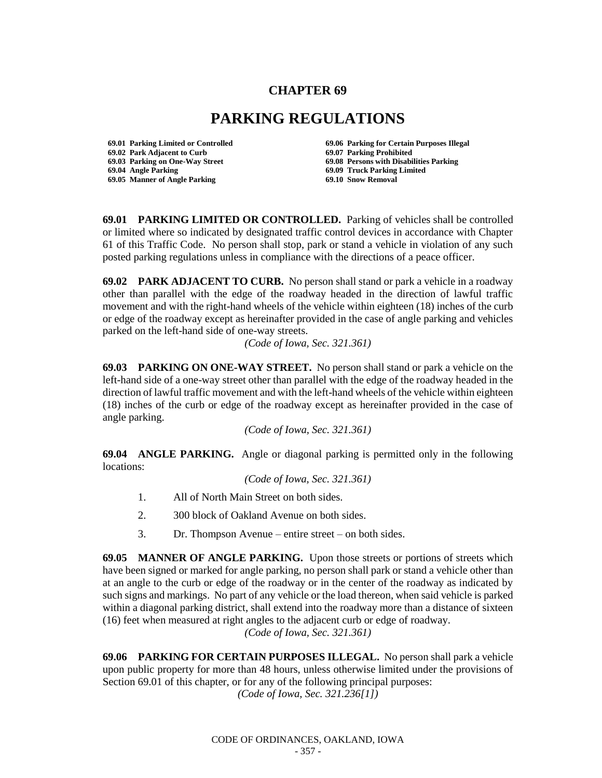## **CHAPTER 69**

## **PARKING REGULATIONS**

**69.02 Park Adjacent to Curb 69.07 Parking Prohibited 69.04 Angle Parking 69.09 Truck Parking Limited 69.05 Manner of Angle Parking** 

**69.01 Parking Limited or Controlled 69.06 Parking for Certain Purposes Illegal 69.08 Persons with Disabilities Parking** 

**69.01 PARKING LIMITED OR CONTROLLED.** Parking of vehicles shall be controlled or limited where so indicated by designated traffic control devices in accordance with Chapter 61 of this Traffic Code. No person shall stop, park or stand a vehicle in violation of any such posted parking regulations unless in compliance with the directions of a peace officer.

**69.02 PARK ADJACENT TO CURB.** No person shall stand or park a vehicle in a roadway other than parallel with the edge of the roadway headed in the direction of lawful traffic movement and with the right-hand wheels of the vehicle within eighteen (18) inches of the curb or edge of the roadway except as hereinafter provided in the case of angle parking and vehicles parked on the left-hand side of one-way streets.

*(Code of Iowa, Sec. 321.361)*

**69.03 PARKING ON ONE-WAY STREET.** No person shall stand or park a vehicle on the left-hand side of a one-way street other than parallel with the edge of the roadway headed in the direction of lawful traffic movement and with the left-hand wheels of the vehicle within eighteen (18) inches of the curb or edge of the roadway except as hereinafter provided in the case of angle parking.

*(Code of Iowa, Sec. 321.361)*

**69.04 ANGLE PARKING.** Angle or diagonal parking is permitted only in the following locations:

*(Code of Iowa, Sec. 321.361)* 

- 1. All of North Main Street on both sides.
- 2. 300 block of Oakland Avenue on both sides.
- 3. Dr. Thompson Avenue entire street on both sides.

**69.05 MANNER OF ANGLE PARKING.** Upon those streets or portions of streets which have been signed or marked for angle parking, no person shall park or stand a vehicle other than at an angle to the curb or edge of the roadway or in the center of the roadway as indicated by such signs and markings. No part of any vehicle or the load thereon, when said vehicle is parked within a diagonal parking district, shall extend into the roadway more than a distance of sixteen (16) feet when measured at right angles to the adjacent curb or edge of roadway.

*(Code of Iowa, Sec. 321.361)*

**69.06 PARKING FOR CERTAIN PURPOSES ILLEGAL.** No person shall park a vehicle upon public property for more than 48 hours, unless otherwise limited under the provisions of Section 69.01 of this chapter, or for any of the following principal purposes:

*(Code of Iowa, Sec. 321.236[1])*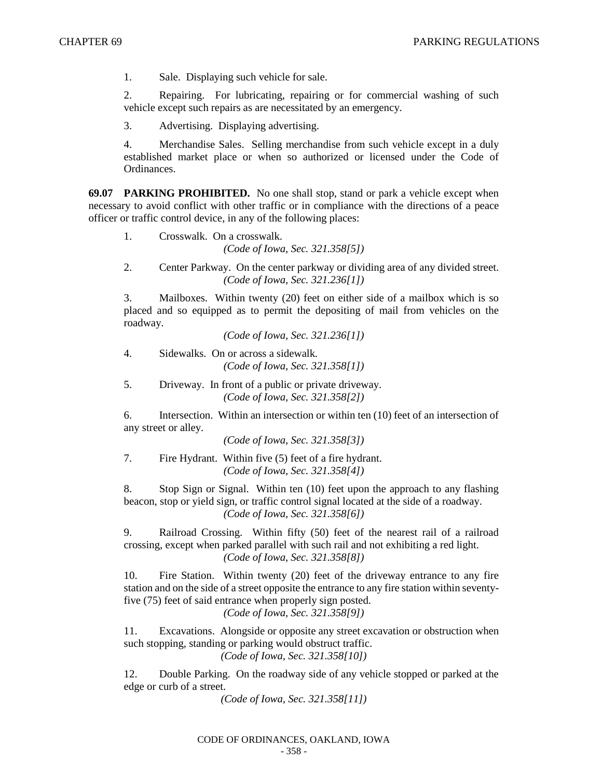1. Sale. Displaying such vehicle for sale.

2. Repairing. For lubricating, repairing or for commercial washing of such vehicle except such repairs as are necessitated by an emergency.

3. Advertising. Displaying advertising.

4. Merchandise Sales. Selling merchandise from such vehicle except in a duly established market place or when so authorized or licensed under the Code of Ordinances.

**69.07 PARKING PROHIBITED.** No one shall stop, stand or park a vehicle except when necessary to avoid conflict with other traffic or in compliance with the directions of a peace officer or traffic control device, in any of the following places:

- 1. Crosswalk. On a crosswalk. *(Code of Iowa, Sec. 321.358[5])*
- 2. Center Parkway. On the center parkway or dividing area of any divided street. *(Code of Iowa, Sec. 321.236[1])*

3. Mailboxes. Within twenty (20) feet on either side of a mailbox which is so placed and so equipped as to permit the depositing of mail from vehicles on the roadway.

*(Code of Iowa, Sec. 321.236[1])*

4. Sidewalks. On or across a sidewalk. *(Code of Iowa, Sec. 321.358[1])*

5. Driveway. In front of a public or private driveway. *(Code of Iowa, Sec. 321.358[2])*

6. Intersection. Within an intersection or within ten (10) feet of an intersection of any street or alley.

*(Code of Iowa, Sec. 321.358[3])*

7. Fire Hydrant. Within five (5) feet of a fire hydrant. *(Code of Iowa, Sec. 321.358[4])*

8. Stop Sign or Signal. Within ten (10) feet upon the approach to any flashing beacon, stop or yield sign, or traffic control signal located at the side of a roadway. *(Code of Iowa, Sec. 321.358[6])*

9. Railroad Crossing. Within fifty (50) feet of the nearest rail of a railroad crossing, except when parked parallel with such rail and not exhibiting a red light. *(Code of Iowa, Sec. 321.358[8])*

10. Fire Station. Within twenty (20) feet of the driveway entrance to any fire station and on the side of a street opposite the entrance to any fire station within seventyfive (75) feet of said entrance when properly sign posted.

*(Code of Iowa, Sec. 321.358[9])*

11. Excavations. Alongside or opposite any street excavation or obstruction when such stopping, standing or parking would obstruct traffic.

*(Code of Iowa, Sec. 321.358[10])*

12. Double Parking. On the roadway side of any vehicle stopped or parked at the edge or curb of a street.

*(Code of Iowa, Sec. 321.358[11])*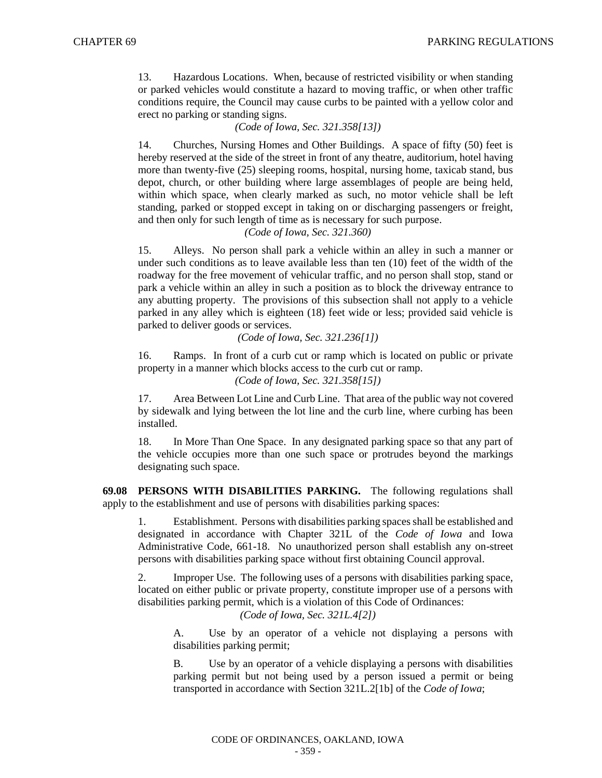13. Hazardous Locations. When, because of restricted visibility or when standing or parked vehicles would constitute a hazard to moving traffic, or when other traffic conditions require, the Council may cause curbs to be painted with a yellow color and erect no parking or standing signs.

*(Code of Iowa, Sec. 321.358[13])*

14. Churches, Nursing Homes and Other Buildings. A space of fifty (50) feet is hereby reserved at the side of the street in front of any theatre, auditorium, hotel having more than twenty-five (25) sleeping rooms, hospital, nursing home, taxicab stand, bus depot, church, or other building where large assemblages of people are being held, within which space, when clearly marked as such, no motor vehicle shall be left standing, parked or stopped except in taking on or discharging passengers or freight, and then only for such length of time as is necessary for such purpose.

*(Code of Iowa, Sec. 321.360)*

15. Alleys. No person shall park a vehicle within an alley in such a manner or under such conditions as to leave available less than ten (10) feet of the width of the roadway for the free movement of vehicular traffic, and no person shall stop, stand or park a vehicle within an alley in such a position as to block the driveway entrance to any abutting property. The provisions of this subsection shall not apply to a vehicle parked in any alley which is eighteen (18) feet wide or less; provided said vehicle is parked to deliver goods or services.

*(Code of Iowa, Sec. 321.236[1])*

16. Ramps. In front of a curb cut or ramp which is located on public or private property in a manner which blocks access to the curb cut or ramp.

*(Code of Iowa, Sec. 321.358[15])*

17. Area Between Lot Line and Curb Line. That area of the public way not covered by sidewalk and lying between the lot line and the curb line, where curbing has been installed.

18. In More Than One Space. In any designated parking space so that any part of the vehicle occupies more than one such space or protrudes beyond the markings designating such space.

**69.08 PERSONS WITH DISABILITIES PARKING.** The following regulations shall apply to the establishment and use of persons with disabilities parking spaces:

1. Establishment. Persons with disabilities parking spacesshall be established and designated in accordance with Chapter 321L of the *Code of Iowa* and Iowa Administrative Code, 661-18. No unauthorized person shall establish any on-street persons with disabilities parking space without first obtaining Council approval.

2. Improper Use. The following uses of a persons with disabilities parking space, located on either public or private property, constitute improper use of a persons with disabilities parking permit, which is a violation of this Code of Ordinances:

*(Code of Iowa, Sec. 321L.4[2])*

A. Use by an operator of a vehicle not displaying a persons with disabilities parking permit;

B. Use by an operator of a vehicle displaying a persons with disabilities parking permit but not being used by a person issued a permit or being transported in accordance with Section 321L.2[1b] of the *Code of Iowa*;